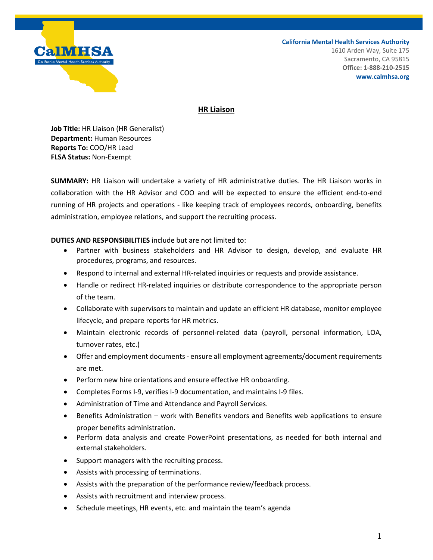

**California Mental Health Services Authority**

1610 Arden Way, Suite 175 Sacramento, CA 95815 **Office: 1-888-210-2515 www.calmhsa.org**

# **HR Liaison**

**Job Title:** HR Liaison (HR Generalist) **Department:** Human Resources **Reports To:** COO/HR Lead **FLSA Status:** Non-Exempt

**SUMMARY:** HR Liaison will undertake a variety of HR administrative duties. The HR Liaison works in collaboration with the HR Advisor and COO and will be expected to ensure the efficient end-to-end running of HR projects and operations - like keeping track of employees records, onboarding, benefits administration, employee relations, and support the recruiting process.

## **DUTIES AND RESPONSIBILITIES** include but are not limited to:

- Partner with business stakeholders and HR Advisor to design, develop, and evaluate HR procedures, programs, and resources.
- Respond to internal and external HR-related inquiries or requests and provide assistance.
- Handle or redirect HR-related inquiries or distribute correspondence to the appropriate person of the team.
- Collaborate with supervisors to maintain and update an efficient HR database, monitor employee lifecycle, and prepare reports for HR metrics.
- Maintain electronic records of personnel-related data (payroll, personal information, LOA, turnover rates, etc.)
- Offer and employment documents ensure all employment agreements/document requirements are met.
- Perform new hire orientations and ensure effective HR onboarding.
- Completes Forms I-9, verifies I-9 documentation, and maintains I-9 files.
- Administration of Time and Attendance and Payroll Services.
- Benefits Administration work with Benefits vendors and Benefits web applications to ensure proper benefits administration.
- Perform data analysis and create PowerPoint presentations, as needed for both internal and external stakeholders.
- Support managers with the recruiting process.
- Assists with processing of terminations.
- Assists with the preparation of the performance review/feedback process.
- Assists with recruitment and interview process.
- Schedule meetings, HR events, etc. and maintain the team's agenda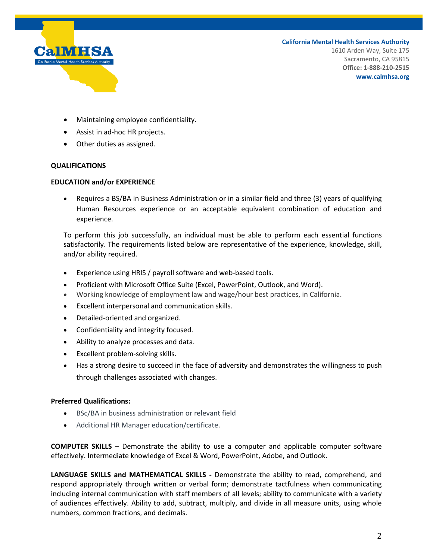

**California Mental Health Services Authority**

1610 Arden Way, Suite 175 Sacramento, CA 95815 **Office: 1-888-210-2515 www.calmhsa.org**

- Maintaining employee confidentiality.
- Assist in ad-hoc HR projects.
- Other duties as assigned.

#### **QUALIFICATIONS**

#### **EDUCATION and/or EXPERIENCE**

• Requires a BS/BA in Business Administration or in a similar field and three (3) years of qualifying Human Resources experience or an acceptable equivalent combination of education and experience.

To perform this job successfully, an individual must be able to perform each essential functions satisfactorily. The requirements listed below are representative of the experience, knowledge, skill, and/or ability required.

- Experience using HRIS / payroll software and web-based tools.
- Proficient with Microsoft Office Suite (Excel, PowerPoint, Outlook, and Word).
- Working knowledge of employment law and wage/hour best practices, in California.
- Excellent interpersonal and communication skills.
- Detailed-oriented and organized.
- Confidentiality and integrity focused.
- Ability to analyze processes and data.
- Excellent problem-solving skills.
- Has a strong desire to succeed in the face of adversity and demonstrates the willingness to push through challenges associated with changes.

### **Preferred Qualifications:**

- BSc/BA in business administration or relevant field
- Additional HR Manager education/certificate.

**COMPUTER SKILLS** – Demonstrate the ability to use a computer and applicable computer software effectively. Intermediate knowledge of Excel & Word, PowerPoint, Adobe, and Outlook.

**LANGUAGE SKILLS and MATHEMATICAL SKILLS -** Demonstrate the ability to read, comprehend, and respond appropriately through written or verbal form; demonstrate tactfulness when communicating including internal communication with staff members of all levels; ability to communicate with a variety of audiences effectively. Ability to add, subtract, multiply, and divide in all measure units, using whole numbers, common fractions, and decimals.